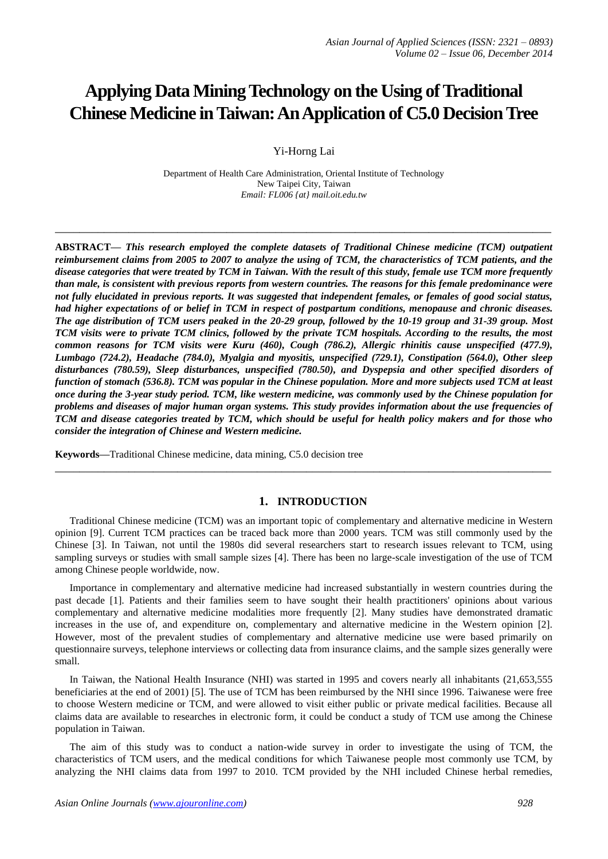# **Applying Data Mining Technology on the Using of Traditional Chinese Medicine in Taiwan: An Application of C5.0 Decision Tree**

Yi-Horng Lai

Department of Health Care Administration, Oriental Institute of Technology New Taipei City, Taiwan *Email: FL006 {at} mail.oit.edu.tw*

**\_\_\_\_\_\_\_\_\_\_\_\_\_\_\_\_\_\_\_\_\_\_\_\_\_\_\_\_\_\_\_\_\_\_\_\_\_\_\_\_\_\_\_\_\_\_\_\_\_\_\_\_\_\_\_\_\_\_\_\_\_\_\_\_\_\_\_\_\_\_\_\_\_\_\_\_\_\_\_\_\_**

**ABSTRACT—** *This research employed the complete datasets of Traditional Chinese medicine (TCM) outpatient reimbursement claims from 2005 to 2007 to analyze the using of TCM, the characteristics of TCM patients, and the disease categories that were treated by TCM in Taiwan. With the result of this study, female use TCM more frequently than male, is consistent with previous reports from western countries. The reasons for this female predominance were not fully elucidated in previous reports. It was suggested that independent females, or females of good social status, had higher expectations of or belief in TCM in respect of postpartum conditions, menopause and chronic diseases. The age distribution of TCM users peaked in the 20-29 group, followed by the 10-19 group and 31-39 group. Most TCM visits were to private TCM clinics, followed by the private TCM hospitals. According to the results, the most common reasons for TCM visits were Kuru (460), Cough (786.2), Allergic rhinitis cause unspecified (477.9), Lumbago (724.2), Headache (784.0), Myalgia and myositis, unspecified (729.1), Constipation (564.0), Other sleep disturbances (780.59), Sleep disturbances, unspecified (780.50), and Dyspepsia and other specified disorders of function of stomach (536.8). TCM was popular in the Chinese population. More and more subjects used TCM at least once during the 3-year study period. TCM, like western medicine, was commonly used by the Chinese population for problems and diseases of major human organ systems. This study provides information about the use frequencies of TCM and disease categories treated by TCM, which should be useful for health policy makers and for those who consider the integration of Chinese and Western medicine.*

**Keywords—**Traditional Chinese medicine, data mining, C5.0 decision tree

# **1. INTRODUCTION**

Traditional Chinese medicine (TCM) was an important topic of complementary and alternative medicine in Western opinion [9]. Current TCM practices can be traced back more than 2000 years. TCM was still commonly used by the Chinese [3]. In Taiwan, not until the 1980s did several researchers start to research issues relevant to TCM, using sampling surveys or studies with small sample sizes [4]. There has been no large-scale investigation of the use of TCM among Chinese people worldwide, now.

**\_\_\_\_\_\_\_\_\_\_\_\_\_\_\_\_\_\_\_\_\_\_\_\_\_\_\_\_\_\_\_\_\_\_\_\_\_\_\_\_\_\_\_\_\_\_\_\_\_\_\_\_\_\_\_\_\_\_\_\_\_\_\_\_\_\_\_\_\_\_\_\_\_\_\_\_\_\_\_\_\_**

Importance in complementary and alternative medicine had increased substantially in western countries during the past decade [1]. Patients and their families seem to have sought their health practitioners' opinions about various complementary and alternative medicine modalities more frequently [2]. Many studies have demonstrated dramatic increases in the use of, and expenditure on, complementary and alternative medicine in the Western opinion [2]. However, most of the prevalent studies of complementary and alternative medicine use were based primarily on questionnaire surveys, telephone interviews or collecting data from insurance claims, and the sample sizes generally were small.

In Taiwan, the National Health Insurance (NHI) was started in 1995 and covers nearly all inhabitants (21,653,555 beneficiaries at the end of 2001) [5]. The use of TCM has been reimbursed by the NHI since 1996. Taiwanese were free to choose Western medicine or TCM, and were allowed to visit either public or private medical facilities. Because all claims data are available to researches in electronic form, it could be conduct a study of TCM use among the Chinese population in Taiwan.

The aim of this study was to conduct a nation-wide survey in order to investigate the using of TCM, the characteristics of TCM users, and the medical conditions for which Taiwanese people most commonly use TCM, by analyzing the NHI claims data from 1997 to 2010. TCM provided by the NHI included Chinese herbal remedies,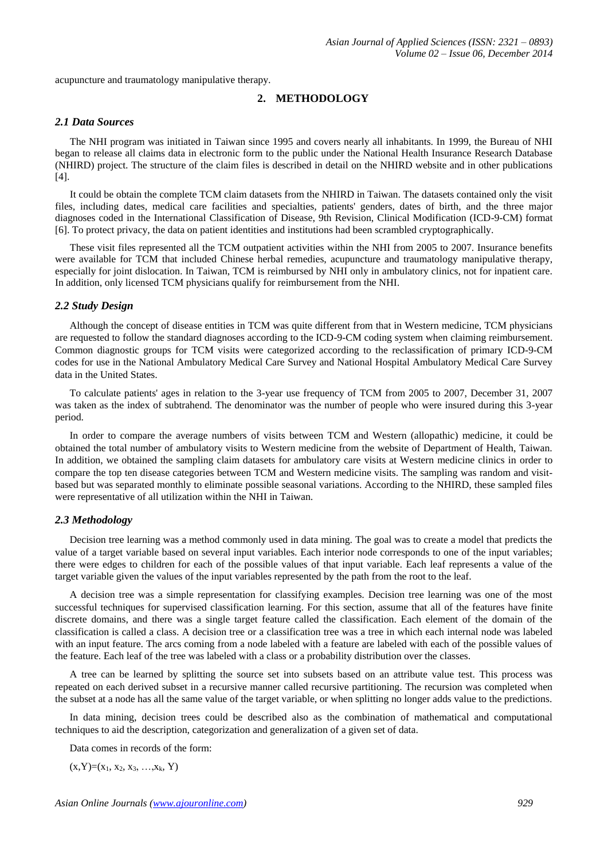acupuncture and traumatology manipulative therapy.

## **2. METHODOLOGY**

#### *2.1 Data Sources*

The NHI program was initiated in Taiwan since 1995 and covers nearly all inhabitants. In 1999, the Bureau of NHI began to release all claims data in electronic form to the public under the National Health Insurance Research Database (NHIRD) project. The structure of the claim files is described in detail on the NHIRD website and in other publications [4].

It could be obtain the complete TCM claim datasets from the NHIRD in Taiwan. The datasets contained only the visit files, including dates, medical care facilities and specialties, patients' genders, dates of birth, and the three major diagnoses coded in the International Classification of Disease, 9th Revision, Clinical Modification (ICD-9-CM) format [6]. To protect privacy, the data on patient identities and institutions had been scrambled cryptographically.

These visit files represented all the TCM outpatient activities within the NHI from 2005 to 2007. Insurance benefits were available for TCM that included Chinese herbal remedies, acupuncture and traumatology manipulative therapy, especially for joint dislocation. In Taiwan, TCM is reimbursed by NHI only in ambulatory clinics, not for inpatient care. In addition, only licensed TCM physicians qualify for reimbursement from the NHI.

#### *2.2 Study Design*

Although the concept of disease entities in TCM was quite different from that in Western medicine, TCM physicians are requested to follow the standard diagnoses according to the ICD-9-CM coding system when claiming reimbursement. Common diagnostic groups for TCM visits were categorized according to the reclassification of primary ICD-9-CM codes for use in the National Ambulatory Medical Care Survey and National Hospital Ambulatory Medical Care Survey data in the United States.

To calculate patients' ages in relation to the 3-year use frequency of TCM from 2005 to 2007, December 31, 2007 was taken as the index of subtrahend. The denominator was the number of people who were insured during this 3-year period.

In order to compare the average numbers of visits between TCM and Western (allopathic) medicine, it could be obtained the total number of ambulatory visits to Western medicine from the website of Department of Health, Taiwan. In addition, we obtained the sampling claim datasets for ambulatory care visits at Western medicine clinics in order to compare the top ten disease categories between TCM and Western medicine visits. The sampling was random and visitbased but was separated monthly to eliminate possible seasonal variations. According to the NHIRD, these sampled files were representative of all utilization within the NHI in Taiwan.

#### *2.3 Methodology*

Decision tree learning was a method commonly used in data mining. The goal was to create a model that predicts the value of a target variable based on several input variables. Each interior node corresponds to one of the input variables; there were edges to children for each of the possible values of that input variable. Each leaf represents a value of the target variable given the values of the input variables represented by the path from the root to the leaf.

A decision tree was a simple representation for classifying examples. Decision tree learning was one of the most successful techniques for supervised classification learning. For this section, assume that all of the features have finite discrete domains, and there was a single target feature called the classification. Each element of the domain of the classification is called a class. A decision tree or a classification tree was a tree in which each internal node was labeled with an input feature. The arcs coming from a node labeled with a feature are labeled with each of the possible values of the feature. Each leaf of the tree was labeled with a class or a probability distribution over the classes.

A tree can be learned by splitting the source set into subsets based on an attribute value test. This process was repeated on each derived subset in a recursive manner called recursive partitioning. The recursion was completed when the subset at a node has all the same value of the target variable, or when splitting no longer adds value to the predictions.

In data mining, decision trees could be described also as the combination of mathematical and computational techniques to aid the description, categorization and generalization of a given set of data.

Data comes in records of the form:

 $(x, Y)=(x_1, x_2, x_3, ..., x_k, Y)$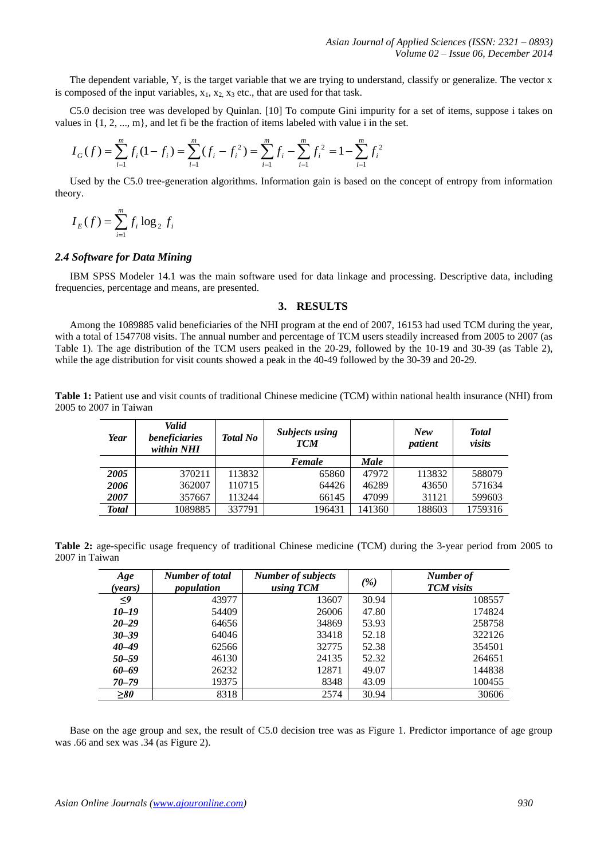The dependent variable, Y, is the target variable that we are trying to understand, classify or generalize. The vector x is composed of the input variables,  $x_1, x_2, x_3$  etc., that are used for that task.

C5.0 decision tree was developed by Quinlan. [10] To compute Gini impurity for a set of items, suppose i takes on values in  $\{1, 2, ..., m\}$ , and let fi be the fraction of items labeled with value i in the set.

$$
I_G(f) = \sum_{i=1}^m f_i (1 - f_i) = \sum_{i=1}^m (f_i - f_i^2) = \sum_{i=1}^m f_i - \sum_{i=1}^m f_i^2 = 1 - \sum_{i=1}^m f_i^2
$$

Used by the C5.0 tree-generation algorithms. Information gain is based on the concept of entropy from information theory.

$$
I_E(f) = \sum_{i=1}^m f_i \log_2 f_i
$$

#### *2.4 Software for Data Mining*

IBM SPSS Modeler 14.1 was the main software used for data linkage and processing. Descriptive data, including frequencies, percentage and means, are presented.

### **3. RESULTS**

Among the 1089885 valid beneficiaries of the NHI program at the end of 2007, 16153 had used TCM during the year, with a total of 1547708 visits. The annual number and percentage of TCM users steadily increased from 2005 to 2007 (as Table 1). The age distribution of the TCM users peaked in the 20-29, followed by the 10-19 and 30-39 (as Table 2), while the age distribution for visit counts showed a peak in the 40-49 followed by the 30-39 and 20-29.

Table 1: Patient use and visit counts of traditional Chinese medicine (TCM) within national health insurance (NHI) from 2005 to 2007 in Taiwan

| Year         | Valid<br>beneficiaries<br>within NHI | <b>Total No</b> | <b>Subjects using</b><br><b>TCM</b> |             | <b>New</b><br>patient | <b>Total</b><br>visits |
|--------------|--------------------------------------|-----------------|-------------------------------------|-------------|-----------------------|------------------------|
|              |                                      |                 | Female                              | <b>Male</b> |                       |                        |
| 2005         | 370211                               | 113832          | 65860                               | 47972       | 113832                | 588079                 |
| 2006         | 362007                               | 110715          | 64426                               | 46289       | 43650                 | 571634                 |
| 2007         | 357667                               | 113244          | 66145                               | 47099       | 31121                 | 599603                 |
| <b>Total</b> | 1089885                              | 337791          | 196431                              | 141360      | 188603                | 1759316                |

**Table 2:** age-specific usage frequency of traditional Chinese medicine (TCM) during the 3-year period from 2005 to 2007 in Taiwan

| Age<br>(years) | Number of total<br>population | <b>Number of subjects</b><br>using TCM | ( %)  | Number of<br><b>TCM</b> visits |
|----------------|-------------------------------|----------------------------------------|-------|--------------------------------|
| $\leq$         | 43977                         | 13607                                  | 30.94 | 108557                         |
| $10 - 19$      | 54409                         | 26006                                  | 47.80 | 174824                         |
| $20 - 29$      | 64656                         | 34869                                  | 53.93 | 258758                         |
| $30 - 39$      | 64046                         | 33418                                  | 52.18 | 322126                         |
| $40 - 49$      | 62566                         | 32775                                  | 52.38 | 354501                         |
| $50 - 59$      | 46130                         | 24135                                  | 52.32 | 264651                         |
| $60 - 69$      | 26232                         | 12871                                  | 49.07 | 144838                         |
| $70 - 79$      | 19375                         | 8348                                   | 43.09 | 100455                         |
| $\geq 80$      | 8318                          | 2574                                   | 30.94 | 30606                          |

Base on the age group and sex, the result of C5.0 decision tree was as Figure 1. Predictor importance of age group was .66 and sex was .34 (as Figure 2).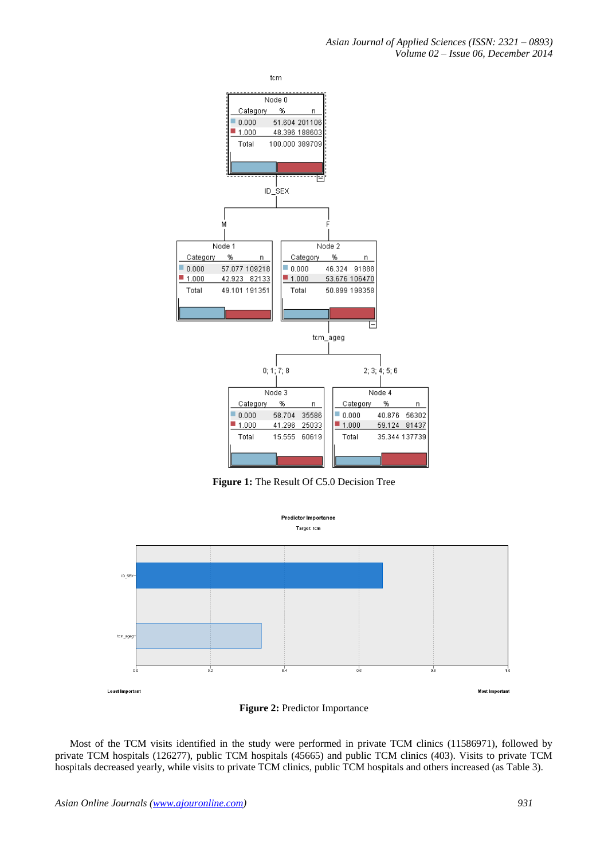*Asian Journal of Applied Sciences (ISSN: 2321 – 0893) Volume 02 – Issue 06, December 2014*



**Figure 1:** The Result Of C5.0 Decision Tree





Most of the TCM visits identified in the study were performed in private TCM clinics (11586971), followed by private TCM hospitals (126277), public TCM hospitals (45665) and public TCM clinics (403). Visits to private TCM hospitals decreased yearly, while visits to private TCM clinics, public TCM hospitals and others increased (as Table 3).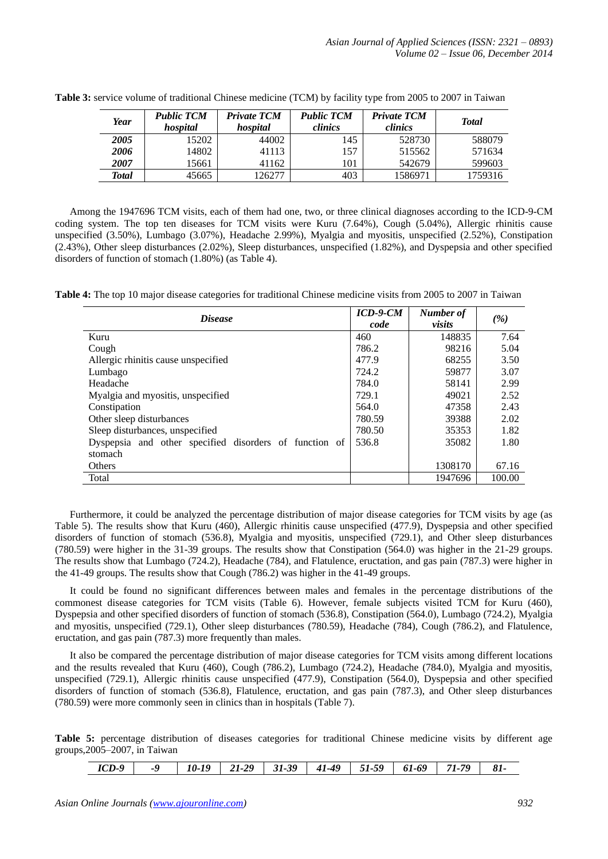| Year               | <b>Public TCM</b><br>hospital | <b>Private TCM</b><br>hospital | <b>Public TCM</b><br>clinics | <b>Private TCM</b><br>clinics | <b>Total</b> |
|--------------------|-------------------------------|--------------------------------|------------------------------|-------------------------------|--------------|
| 2005               | 15202                         | 44002                          | 145                          | 528730                        | 588079       |
| 2006               | 14802                         | 41113                          | 157                          | 515562                        | 571634       |
| <i><b>2007</b></i> | 15661                         | 41162                          | 101                          | 542679                        | 599603       |
| Total              | 45665                         | 126277                         | 403                          | 1586971                       | 1759316      |

**Table 3:** service volume of traditional Chinese medicine (TCM) by facility type from 2005 to 2007 in Taiwan

Among the 1947696 TCM visits, each of them had one, two, or three clinical diagnoses according to the ICD-9-CM coding system. The top ten diseases for TCM visits were Kuru (7.64%), Cough (5.04%), Allergic rhinitis cause unspecified (3.50%), Lumbago (3.07%), Headache 2.99%), Myalgia and myositis, unspecified (2.52%), Constipation (2.43%), Other sleep disturbances (2.02%), Sleep disturbances, unspecified (1.82%), and Dyspepsia and other specified disorders of function of stomach (1.80%) (as Table 4).

**Table 4:** The top 10 major disease categories for traditional Chinese medicine visits from 2005 to 2007 in Taiwan

| <i>Disease</i>                                         | $ICD-9-CM$<br>code | Number of<br>visits | (%)    |
|--------------------------------------------------------|--------------------|---------------------|--------|
| Kuru                                                   | 460                | 148835              | 7.64   |
| Cough                                                  | 786.2              | 98216               | 5.04   |
| Allergic rhinitis cause unspecified                    | 477.9              | 68255               | 3.50   |
| Lumbago                                                | 724.2              | 59877               | 3.07   |
| Headache                                               | 784.0              | 58141               | 2.99   |
| Myalgia and myositis, unspecified                      | 729.1              | 49021               | 2.52   |
| Constipation                                           | 564.0              | 47358               | 2.43   |
| Other sleep disturbances                               | 780.59             | 39388               | 2.02   |
| Sleep disturbances, unspecified                        | 780.50             | 35353               | 1.82   |
| Dyspepsia and other specified disorders of function of | 536.8              | 35082               | 1.80   |
| stomach                                                |                    |                     |        |
| Others                                                 |                    | 1308170             | 67.16  |
| Total                                                  |                    | 1947696             | 100.00 |

Furthermore, it could be analyzed the percentage distribution of major disease categories for TCM visits by age (as Table 5). The results show that Kuru (460), Allergic rhinitis cause unspecified (477.9), Dyspepsia and other specified disorders of function of stomach (536.8), Myalgia and myositis, unspecified (729.1), and Other sleep disturbances (780.59) were higher in the 31-39 groups. The results show that Constipation (564.0) was higher in the 21-29 groups. The results show that Lumbago (724.2), Headache (784), and Flatulence, eructation, and gas pain (787.3) were higher in the 41-49 groups. The results show that Cough (786.2) was higher in the 41-49 groups.

It could be found no significant differences between males and females in the percentage distributions of the commonest disease categories for TCM visits (Table 6). However, female subjects visited TCM for Kuru (460), Dyspepsia and other specified disorders of function of stomach (536.8), Constipation (564.0), Lumbago (724.2), Myalgia and myositis, unspecified (729.1), Other sleep disturbances (780.59), Headache (784), Cough (786.2), and Flatulence, eructation, and gas pain (787.3) more frequently than males.

It also be compared the percentage distribution of major disease categories for TCM visits among different locations and the results revealed that Kuru (460), Cough (786.2), Lumbago (724.2), Headache (784.0), Myalgia and myositis, unspecified (729.1), Allergic rhinitis cause unspecified (477.9), Constipation (564.0), Dyspepsia and other specified disorders of function of stomach (536.8), Flatulence, eructation, and gas pain (787.3), and Other sleep disturbances (780.59) were more commonly seen in clinics than in hospitals (Table 7).

**Table 5:** percentage distribution of diseases categories for traditional Chinese medicine visits by different age groups,2005–2007, in Taiwan

| $ICD-9$<br>-9 | 29<br>21-2<br>10- | .39<br>$31-$ | $41 - 49$ | -59 | 61-69 | 70<br>71 |  |
|---------------|-------------------|--------------|-----------|-----|-------|----------|--|
|---------------|-------------------|--------------|-----------|-----|-------|----------|--|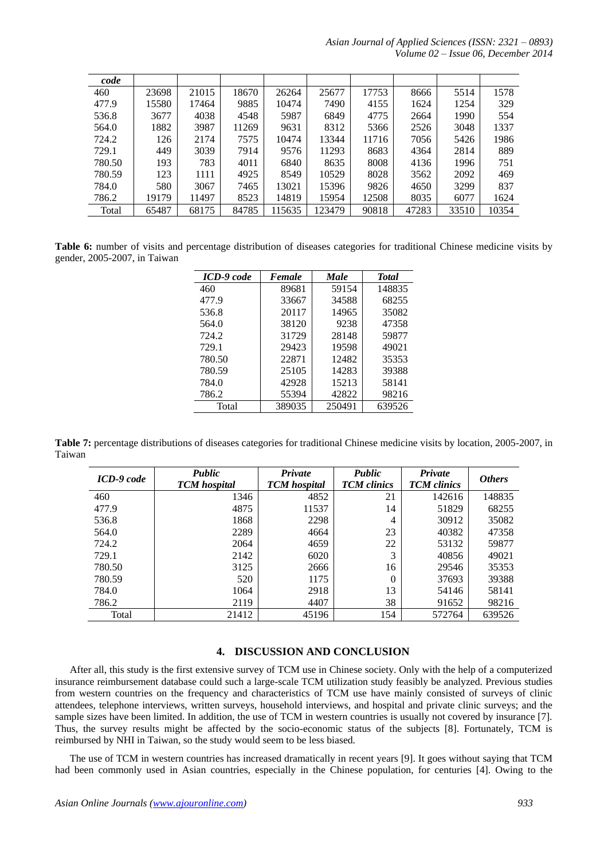*Asian Journal of Applied Sciences (ISSN: 2321 – 0893) Volume 02 – Issue 06, December 2014*

| code   |       |       |       |        |        |       |       |       |       |
|--------|-------|-------|-------|--------|--------|-------|-------|-------|-------|
| 460    | 23698 | 21015 | 18670 | 26264  | 25677  | 17753 | 8666  | 5514  | 1578  |
| 477.9  | 15580 | 17464 | 9885  | 10474  | 7490   | 4155  | 1624  | 1254  | 329   |
| 536.8  | 3677  | 4038  | 4548  | 5987   | 6849   | 4775  | 2664  | 1990  | 554   |
| 564.0  | 1882  | 3987  | 11269 | 9631   | 8312   | 5366  | 2526  | 3048  | 1337  |
| 724.2  | 126   | 2174  | 7575  | 10474  | 13344  | 11716 | 7056  | 5426  | 1986  |
| 729.1  | 449   | 3039  | 7914  | 9576   | 11293  | 8683  | 4364  | 2814  | 889   |
| 780.50 | 193   | 783   | 4011  | 6840   | 8635   | 8008  | 4136  | 1996  | 751   |
| 780.59 | 123   | 1111  | 4925  | 8549   | 10529  | 8028  | 3562  | 2092  | 469   |
| 784.0  | 580   | 3067  | 7465  | 13021  | 15396  | 9826  | 4650  | 3299  | 837   |
| 786.2  | 19179 | 11497 | 8523  | 14819  | 15954  | 12508 | 8035  | 6077  | 1624  |
| Total  | 65487 | 68175 | 84785 | 115635 | 123479 | 90818 | 47283 | 33510 | 10354 |

**Table 6:** number of visits and percentage distribution of diseases categories for traditional Chinese medicine visits by gender, 2005-2007, in Taiwan

| ICD-9 code | Female | Male   | <b>Total</b> |
|------------|--------|--------|--------------|
| 460        | 89681  | 59154  | 148835       |
| 477.9      | 33667  | 34588  | 68255        |
| 536.8      | 20117  | 14965  | 35082        |
| 564.0      | 38120  | 9238   | 47358        |
| 724.2      | 31729  | 28148  | 59877        |
| 729.1      | 29423  | 19598  | 49021        |
| 780.50     | 22871  | 12482  | 35353        |
| 780.59     | 25105  | 14283  | 39388        |
| 784.0      | 42928  | 15213  | 58141        |
| 786.2      | 55394  | 42822  | 98216        |
| Total      | 389035 | 250491 | 639526       |

**Table 7:** percentage distributions of diseases categories for traditional Chinese medicine visits by location, 2005-2007, in Taiwan

| ICD-9 code | Public<br><b>TCM</b> hospital | Private<br><b>TCM</b> hospital | Public<br><b>TCM</b> clinics | Private<br><b>TCM</b> clinics | <b>Others</b> |
|------------|-------------------------------|--------------------------------|------------------------------|-------------------------------|---------------|
| 460        | 1346                          | 4852                           | 21                           | 142616                        | 148835        |
| 477.9      | 4875                          | 11537                          | 14                           | 51829                         | 68255         |
| 536.8      | 1868                          | 2298                           | 4                            | 30912                         | 35082         |
| 564.0      | 2289                          | 4664                           | 23                           | 40382                         | 47358         |
| 724.2      | 2064                          | 4659                           | 22                           | 53132                         | 59877         |
| 729.1      | 2142                          | 6020                           | 3                            | 40856                         | 49021         |
| 780.50     | 3125                          | 2666                           | 16                           | 29546                         | 35353         |
| 780.59     | 520                           | 1175                           | 0                            | 37693                         | 39388         |
| 784.0      | 1064                          | 2918                           | 13                           | 54146                         | 58141         |
| 786.2      | 2119                          | 4407                           | 38                           | 91652                         | 98216         |
| Total      | 21412                         | 45196                          | 154                          | 572764                        | 639526        |

## **4. DISCUSSION AND CONCLUSION**

After all, this study is the first extensive survey of TCM use in Chinese society. Only with the help of a computerized insurance reimbursement database could such a large-scale TCM utilization study feasibly be analyzed. Previous studies from western countries on the frequency and characteristics of TCM use have mainly consisted of surveys of clinic attendees, telephone interviews, written surveys, household interviews, and hospital and private clinic surveys; and the sample sizes have been limited. In addition, the use of TCM in western countries is usually not covered by insurance [7]. Thus, the survey results might be affected by the socio-economic status of the subjects [8]. Fortunately, TCM is reimbursed by NHI in Taiwan, so the study would seem to be less biased.

The use of TCM in western countries has increased dramatically in recent years [9]. It goes without saying that TCM had been commonly used in Asian countries, especially in the Chinese population, for centuries [4]. Owing to the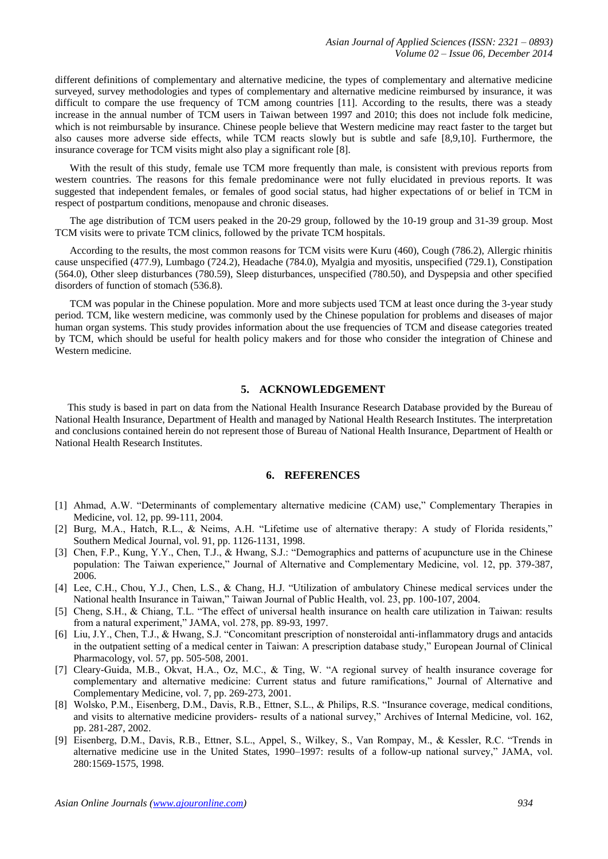different definitions of complementary and alternative medicine, the types of complementary and alternative medicine surveyed, survey methodologies and types of complementary and alternative medicine reimbursed by insurance, it was difficult to compare the use frequency of TCM among countries [11]. According to the results, there was a steady increase in the annual number of TCM users in Taiwan between 1997 and 2010; this does not include folk medicine, which is not reimbursable by insurance. Chinese people believe that Western medicine may react faster to the target but also causes more adverse side effects, while TCM reacts slowly but is subtle and safe [8,9,10]. Furthermore, the insurance coverage for TCM visits might also play a significant role [8].

With the result of this study, female use TCM more frequently than male, is consistent with previous reports from western countries. The reasons for this female predominance were not fully elucidated in previous reports. It was suggested that independent females, or females of good social status, had higher expectations of or belief in TCM in respect of postpartum conditions, menopause and chronic diseases.

The age distribution of TCM users peaked in the 20-29 group, followed by the 10-19 group and 31-39 group. Most TCM visits were to private TCM clinics, followed by the private TCM hospitals.

According to the results, the most common reasons for TCM visits were Kuru (460), Cough (786.2), Allergic rhinitis cause unspecified (477.9), Lumbago (724.2), Headache (784.0), Myalgia and myositis, unspecified (729.1), Constipation (564.0), Other sleep disturbances (780.59), Sleep disturbances, unspecified (780.50), and Dyspepsia and other specified disorders of function of stomach (536.8).

TCM was popular in the Chinese population. More and more subjects used TCM at least once during the 3-year study period. TCM, like western medicine, was commonly used by the Chinese population for problems and diseases of major human organ systems. This study provides information about the use frequencies of TCM and disease categories treated by TCM, which should be useful for health policy makers and for those who consider the integration of Chinese and Western medicine.

#### **5. ACKNOWLEDGEMENT**

This study is based in part on data from the National Health Insurance Research Database provided by the Bureau of National Health Insurance, Department of Health and managed by National Health Research Institutes. The interpretation and conclusions contained herein do not represent those of Bureau of National Health Insurance, Department of Health or National Health Research Institutes.

#### **6. REFERENCES**

- [1] Ahmad, A.W. "Determinants of complementary alternative medicine (CAM) use," Complementary Therapies in Medicine, vol. 12, pp. 99-111, 2004.
- [2] Burg, M.A., Hatch, R.L., & Neims, A.H. "Lifetime use of alternative therapy: A study of Florida residents," Southern Medical Journal, vol. 91, pp. 1126-1131, 1998.
- [3] Chen, F.P., Kung, Y.Y., Chen, T.J., & Hwang, S.J.: "Demographics and patterns of acupuncture use in the Chinese population: The Taiwan experience," Journal of Alternative and Complementary Medicine, vol. 12, pp. 379-387, 2006.
- [4] Lee, C.H., Chou, Y.J., Chen, L.S., & Chang, H.J. "Utilization of ambulatory Chinese medical services under the National health Insurance in Taiwan," Taiwan Journal of Public Health, vol. 23, pp. 100-107, 2004.
- [5] Cheng, S.H., & Chiang, T.L. "The effect of universal health insurance on health care utilization in Taiwan: results from a natural experiment," JAMA, vol. 278, pp. 89-93, 1997.
- [6] Liu, J.Y., Chen, T.J., & Hwang, S.J. "Concomitant prescription of nonsteroidal anti-inflammatory drugs and antacids in the outpatient setting of a medical center in Taiwan: A prescription database study," European Journal of Clinical Pharmacology, vol. 57, pp. 505-508, 2001.
- [7] Cleary-Guida, M.B., Okvat, H.A., Oz, M.C., & Ting, W. "A regional survey of health insurance coverage for complementary and alternative medicine: Current status and future ramifications," Journal of Alternative and Complementary Medicine, vol. 7, pp. 269-273, 2001.
- [8] Wolsko, P.M., Eisenberg, D.M., Davis, R.B., Ettner, S.L., & Philips, R.S. "Insurance coverage, medical conditions, and visits to alternative medicine providers- results of a national survey," Archives of Internal Medicine, vol. 162, pp. 281-287, 2002.
- [9] Eisenberg, D.M., Davis, R.B., Ettner, S.L., Appel, S., Wilkey, S., Van Rompay, M., & Kessler, R.C. "Trends in alternative medicine use in the United States, 1990–1997: results of a follow-up national survey," JAMA, vol. 280:1569-1575, 1998.